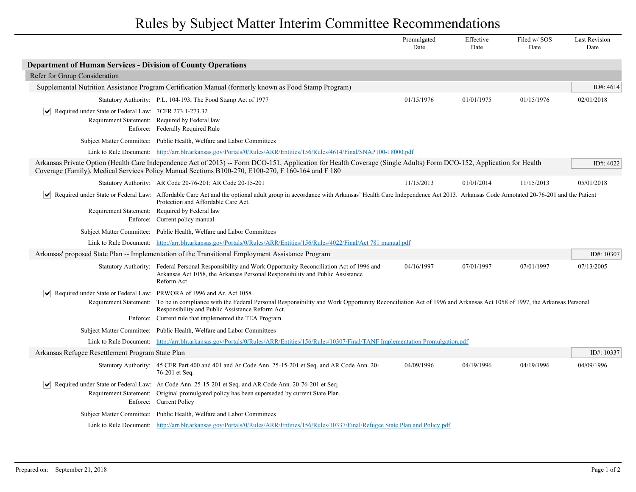## Rules by Subject Matter Interim Committee Recommendations

|                                                                             |                                                                                                                                                                                                                                                                                                                                    | Promulgated<br>Date | Effective<br>Date | Filed w/SOS<br>Date | <b>Last Revision</b><br>Date |
|-----------------------------------------------------------------------------|------------------------------------------------------------------------------------------------------------------------------------------------------------------------------------------------------------------------------------------------------------------------------------------------------------------------------------|---------------------|-------------------|---------------------|------------------------------|
| <b>Department of Human Services - Division of County Operations</b>         |                                                                                                                                                                                                                                                                                                                                    |                     |                   |                     |                              |
| Refer for Group Consideration                                               |                                                                                                                                                                                                                                                                                                                                    |                     |                   |                     |                              |
|                                                                             | Supplemental Nutrition Assistance Program Certification Manual (formerly known as Food Stamp Program)                                                                                                                                                                                                                              |                     |                   |                     | ID#: 4614                    |
|                                                                             | Statutory Authority: P.L. 104-193, The Food Stamp Act of 1977                                                                                                                                                                                                                                                                      | 01/15/1976          | 01/01/1975        | 01/15/1976          | 02/01/2018                   |
| Required under State or Federal Law: 7CFR 273.1-273.32<br>∣V∣               | Requirement Statement: Required by Federal law<br>Enforce: Federally Required Rule                                                                                                                                                                                                                                                 |                     |                   |                     |                              |
|                                                                             | Subject Matter Committee: Public Health, Welfare and Labor Committees                                                                                                                                                                                                                                                              |                     |                   |                     |                              |
|                                                                             | Link to Rule Document: http://arr.blr.arkansas.gov/Portals/0/Rules/ARR/Entities/156/Rules/4614/Final/SNAP100-18000.pdf                                                                                                                                                                                                             |                     |                   |                     |                              |
|                                                                             | Arkansas Private Option (Health Care Independence Act of 2013) -- Form DCO-151, Application for Health Coverage (Single Adults) Form DCO-152, Application for Health<br>Coverage (Family), Medical Services Policy Manual Sections B100-270, E100-270, F 160-164 and F 180                                                         |                     |                   |                     | ID#: 4022                    |
|                                                                             | Statutory Authority: AR Code 20-76-201; AR Code 20-15-201                                                                                                                                                                                                                                                                          | 11/15/2013          | 01/01/2014        | 11/15/2013          | 05/01/2018                   |
| ⋈                                                                           | Required under State or Federal Law: Affordable Care Act and the optional adult group in accordance with Arkansas' Health Care Independence Act 2013. Arkansas Code Annotated 20-76-201 and the Patient<br>Protection and Affordable Care Act.<br>Requirement Statement: Required by Federal law<br>Enforce: Current policy manual |                     |                   |                     |                              |
|                                                                             | Subject Matter Committee: Public Health, Welfare and Labor Committees                                                                                                                                                                                                                                                              |                     |                   |                     |                              |
|                                                                             | Link to Rule Document: http://arr.blr.arkansas.gov/Portals/0/Rules/ARR/Entities/156/Rules/4022/Final/Act 781 manual.pdf                                                                                                                                                                                                            |                     |                   |                     |                              |
|                                                                             | Arkansas' proposed State Plan -- Implementation of the Transitional Employment Assistance Program                                                                                                                                                                                                                                  |                     |                   |                     | ID#: $10307$                 |
|                                                                             | Statutory Authority: Federal Personal Responsibility and Work Opportunity Reconciliation Act of 1996 and<br>Arkansas Act 1058, the Arkansas Personal Responsibility and Public Assistance<br>Reform Act                                                                                                                            | 04/16/1997          | 07/01/1997        | 07/01/1997          | 07/13/2005                   |
| Required under State or Federal Law: PRWORA of 1996 and Ar. Act 1058<br>∣V∣ | Requirement Statement: To be in compliance with the Federal Personal Responsibility and Work Opportunity Reconciliation Act of 1996 and Arkansas Act 1058 of 1997, the Arkansas Personal<br>Responsibility and Public Assistance Reform Act.<br>Enforce: Current rule that implemented the TEA Program.                            |                     |                   |                     |                              |
|                                                                             | Subject Matter Committee: Public Health, Welfare and Labor Committees                                                                                                                                                                                                                                                              |                     |                   |                     |                              |
|                                                                             | Link to Rule Document: http://arr.blr.arkansas.gov/Portals/0/Rules/ARR/Entities/156/Rules/10307/Final/TANF Implementation Promulgation.pdf                                                                                                                                                                                         |                     |                   |                     |                              |
| Arkansas Refugee Resettlement Program State Plan                            |                                                                                                                                                                                                                                                                                                                                    |                     |                   |                     | ID#: 10337                   |
|                                                                             | Statutory Authority: 45 CFR Part 400 and 401 and Ar Code Ann. 25-15-201 et Seq. and AR Code Ann. 20-<br>76-201 et Seq.                                                                                                                                                                                                             | 04/09/1996          | 04/19/1996        | 04/19/1996          | 04/09/1996                   |
|                                                                             | √ Required under State or Federal Law: Ar Code Ann. 25-15-201 et Seq. and AR Code Ann. 20-76-201 et Seq.<br>Requirement Statement: Original promulgated policy has been superseded by current State Plan.<br>Enforce: Current Policy                                                                                               |                     |                   |                     |                              |
|                                                                             | Subject Matter Committee: Public Health, Welfare and Labor Committees                                                                                                                                                                                                                                                              |                     |                   |                     |                              |
|                                                                             | Link to Rule Document: http://arr.blr.arkansas.gov/Portals/0/Rules/ARR/Entities/156/Rules/10337/Final/Refugee State Plan and Policy.pdf                                                                                                                                                                                            |                     |                   |                     |                              |